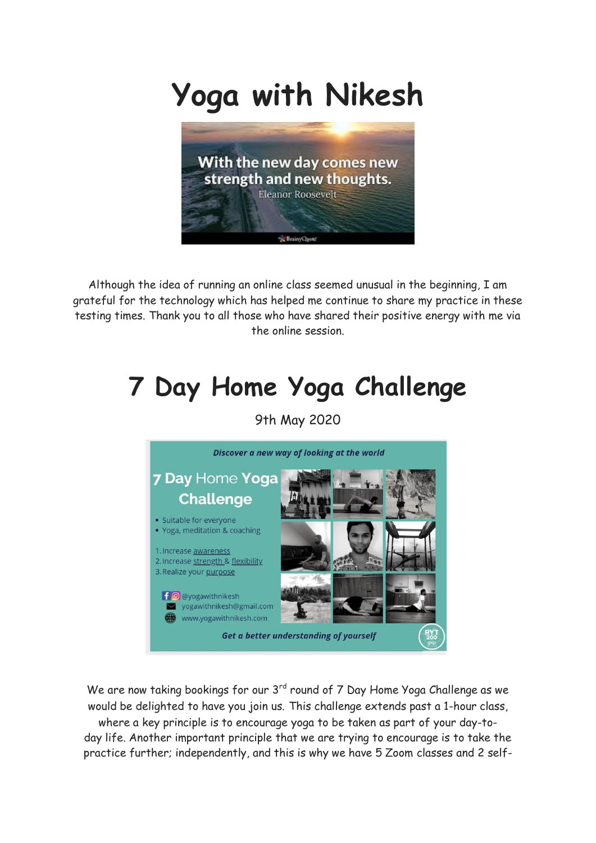## **Yoga with Nikesh**



Although the idea of running an online class seemed unusual in the beginning, I am grateful for the technology which has helped me continue to share my practice in these testing times. Thank you to all those who have shared their positive energy with me via the online session.

## **7 Day Home Yoga Challenge**

9th May 2020



We are now taking bookings for our  $3<sup>rd</sup>$  round of 7 Day Home Yoga Challenge as we would be delighted to have you join us. This challenge extends past a 1-hour class,

where a key principle is to encourage yoga to be taken as part of your day-today life. Another important principle that we are trying to encourage is to take the practice further; independently, and this is why we have 5 Zoom classes and 2 self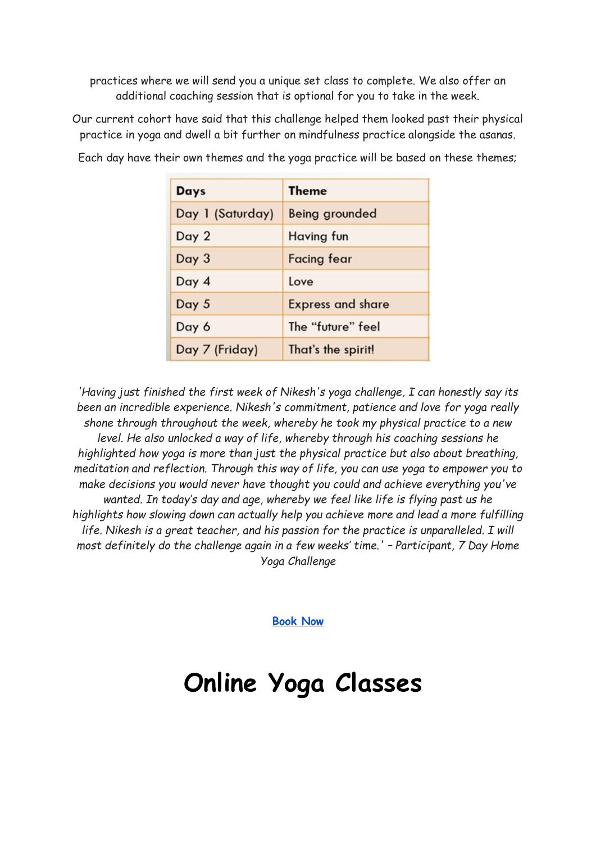practices where we will send you a unique set class to complete. We also offer an additional coaching session that is optional for you to take in the week.

Our current cohort have said that this challenge helped them looked past their physical practice in yoga and dwell a bit further on mindfulness practice alongside the asanas.

| Days             | <b>Theme</b>             |
|------------------|--------------------------|
| Day 1 (Saturday) | Being grounded           |
| Day 2            | Having fun               |
| Day 3            | Facing fear              |
| Day 4            | Love                     |
| Day 5            | <b>Express and share</b> |
| Day 6            | The "future" feel        |
| Day 7 (Friday)   | That's the spirit!       |

Each day have their own themes and the yoga practice will be based on these themes;

*'Having just finished the first week of Nikesh's yoga challenge, I can honestly say its been an incredible experience. Nikesh's commitment, patience and love for yoga really shone through throughout the week, whereby he took my physical practice to a new level. He also unlocked a way of life, whereby through his coaching sessions he highlighted how yoga is more than just the physical practice but also about breathing, meditation and reflection. Through this way of life, you can use yoga to empower you to make decisions you would never have thought you could and achieve everything you've wanted. In today's day and age, whereby we feel like life is flying past us he highlights how slowing down can actually help you achieve more and lead a more fulfilling life. Nikesh is a great teacher, and his passion for the practice is unparalleled. I will most definitely do the challenge again in a few weeks' time.' – Participant, 7 Day Home Yoga Challenge*

**[Book Now](https://www.yogawithnikesh.com/7-day)**

## **Online Yoga Classes**